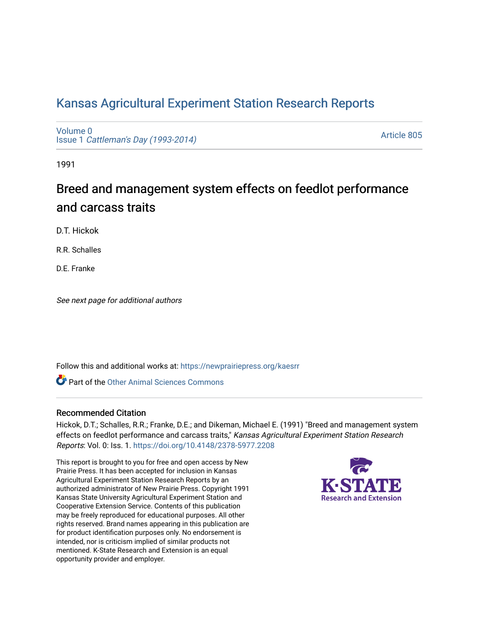## [Kansas Agricultural Experiment Station Research Reports](https://newprairiepress.org/kaesrr)

[Volume 0](https://newprairiepress.org/kaesrr/vol0) Issue 1 [Cattleman's Day \(1993-2014\)](https://newprairiepress.org/kaesrr/vol0/iss1) 

[Article 805](https://newprairiepress.org/kaesrr/vol0/iss1/805) 

1991

# Breed and management system effects on feedlot performance and carcass traits

D.T. Hickok

R.R. Schalles

D.E. Franke

See next page for additional authors

Follow this and additional works at: [https://newprairiepress.org/kaesrr](https://newprairiepress.org/kaesrr?utm_source=newprairiepress.org%2Fkaesrr%2Fvol0%2Fiss1%2F805&utm_medium=PDF&utm_campaign=PDFCoverPages) 

**C** Part of the [Other Animal Sciences Commons](http://network.bepress.com/hgg/discipline/82?utm_source=newprairiepress.org%2Fkaesrr%2Fvol0%2Fiss1%2F805&utm_medium=PDF&utm_campaign=PDFCoverPages)

## Recommended Citation

Hickok, D.T.; Schalles, R.R.; Franke, D.E.; and Dikeman, Michael E. (1991) "Breed and management system effects on feedlot performance and carcass traits," Kansas Agricultural Experiment Station Research Reports: Vol. 0: Iss. 1.<https://doi.org/10.4148/2378-5977.2208>

This report is brought to you for free and open access by New Prairie Press. It has been accepted for inclusion in Kansas Agricultural Experiment Station Research Reports by an authorized administrator of New Prairie Press. Copyright 1991 Kansas State University Agricultural Experiment Station and Cooperative Extension Service. Contents of this publication may be freely reproduced for educational purposes. All other rights reserved. Brand names appearing in this publication are for product identification purposes only. No endorsement is intended, nor is criticism implied of similar products not mentioned. K-State Research and Extension is an equal opportunity provider and employer.

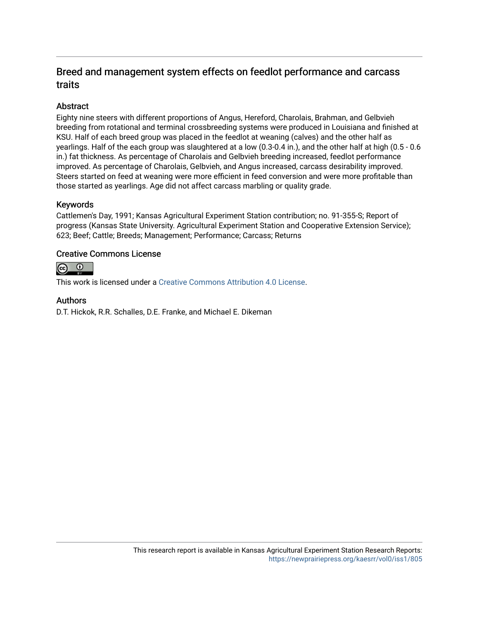## Breed and management system effects on feedlot performance and carcass traits

## **Abstract**

Eighty nine steers with different proportions of Angus, Hereford, Charolais, Brahman, and Gelbvieh breeding from rotational and terminal crossbreeding systems were produced in Louisiana and finished at KSU. Half of each breed group was placed in the feedlot at weaning (calves) and the other half as yearlings. Half of the each group was slaughtered at a low (0.3-0.4 in.), and the other half at high (0.5 - 0.6 in.) fat thickness. As percentage of Charolais and Gelbvieh breeding increased, feedlot performance improved. As percentage of Charolais, Gelbvieh, and Angus increased, carcass desirability improved. Steers started on feed at weaning were more efficient in feed conversion and were more profitable than those started as yearlings. Age did not affect carcass marbling or quality grade.

## Keywords

Cattlemen's Day, 1991; Kansas Agricultural Experiment Station contribution; no. 91-355-S; Report of progress (Kansas State University. Agricultural Experiment Station and Cooperative Extension Service); 623; Beef; Cattle; Breeds; Management; Performance; Carcass; Returns

## Creative Commons License



This work is licensed under a [Creative Commons Attribution 4.0 License](https://creativecommons.org/licenses/by/4.0/).

## Authors

D.T. Hickok, R.R. Schalles, D.E. Franke, and Michael E. Dikeman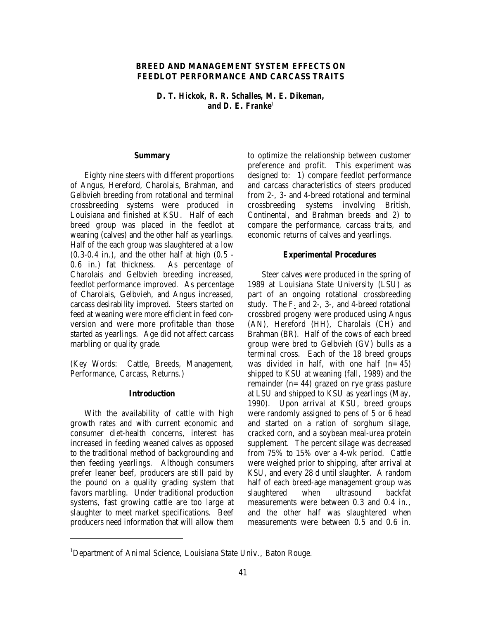#### **BREED AND MANAGEMENT SYSTEM EFFECTS ON FEEDLOT PERFORMANCE AND CARCASS TRAITS**

*D. T. Hickok, R. R. Schalles, M. E. Dikeman, and D. E. Franke<sup>1</sup>*

#### **Summary**

Eighty nine steers with different proportions of Angus, Hereford, Charolais, Brahman, and Gelbvieh breeding from rotational and terminal crossbreeding systems were produced in Louisiana and finished at KSU. Half of each breed group was placed in the feedlot at weaning (calves) and the other half as yearlings. Half of the each group was slaughtered at a low  $(0.3-0.4$  in.), and the other half at high  $(0.5 -$ 0.6 in.) fat thickness. As percentage of Charolais and Gelbvieh breeding increased, feedlot performance improved. As percentage of Charolais, Gelbvieh, and Angus increased, carcass desirability improved. Steers started on feed at weaning were more efficient in feed conversion and were more profitable than those started as yearlings. Age did not affect carcass marbling or quality grade.

(Key Words: Cattle, Breeds, Management, Performance, Carcass, Returns.)

#### **Introduction**

With the availability of cattle with high growth rates and with current economic and consumer diet-health concerns, interest has increased in feeding weaned calves as opposed to the traditional method of backgrounding and then feeding yearlings. Although consumers prefer leaner beef, producers are still paid by the pound on a quality grading system that favors marbling. Under traditional production systems, fast growing cattle are too large at slaughter to meet market specifications. Beef producers need information that will allow them to optimize the relationship between customer preference and profit. This experiment was designed to: 1) compare feedlot performance and carcass characteristics of steers produced from 2-, 3- and 4-breed rotational and terminal crossbreeding systems involving British, Continental, and Brahman breeds and 2) to compare the performance, carcass traits, and economic returns of calves and yearlings.

#### **Experimental Procedures**

Steer calves were produced in the spring of 1989 at Louisiana State University (LSU) as part of an ongoing rotational crossbreeding study. The  $F_1$  and 2-, 3-, and 4-breed rotational crossbred progeny were produced using Angus (AN), Hereford (HH), Charolais (CH) and Brahman (BR). Half of the cows of each breed group were bred to Gelbvieh (GV) bulls as a terminal cross. Each of the 18 breed groups was divided in half, with one half  $(n=45)$ shipped to KSU at weaning (fall, 1989) and the remainder  $(n=44)$  grazed on rye grass pasture at LSU and shipped to KSU as yearlings (May, 1990). Upon arrival at KSU, breed groups were randomly assigned to pens of 5 or 6 head and started on a ration of sorghum silage, cracked corn, and a soybean meal-urea protein supplement. The percent silage was decreased from 75% to 15% over a 4-wk period. Cattle were weighed prior to shipping, after arrival at KSU, and every 28 d until slaughter. A random half of each breed-age management group was slaughtered when ultrasound backfat measurements were between 0.3 and 0.4 in., and the other half was slaughtered when measurements were between 0.5 and 0.6 in.

<sup>&</sup>lt;sup>1</sup>Department of Animal Science, Louisiana State Univ., Baton Rouge.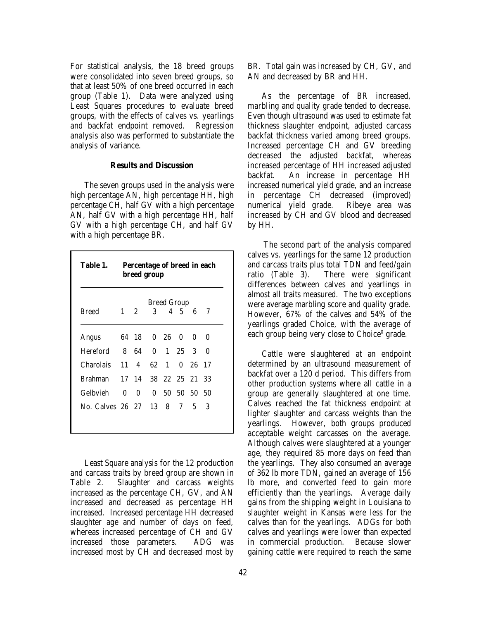For statistical analysis, the 18 breed groups were consolidated into seven breed groups, so that at least 50% of one breed occurred in each group (Table 1). Data were analyzed using Least Squares procedures to evaluate breed groups, with the effects of calves vs. yearlings and backfat endpoint removed. Regression analysis also was performed to substantiate the analysis of variance.

#### **Results and Discussion**

The seven groups used in the analysis were high percentage AN, high percentage HH, high percentage CH, half GV with a high percentage AN, half GV with a high percentage HH, half GV with a high percentage CH, and half GV with a high percentage BR.

|                              | <b>Breed Group</b> |            |                |                   |  |                |   |
|------------------------------|--------------------|------------|----------------|-------------------|--|----------------|---|
| Breed                        | $1\quad 2$         |            | $3^{\circ}$    |                   |  | 4 5 6 7        |   |
| Angus                        |                    |            | 64 18 0 26 0 0 |                   |  |                | 0 |
| Hereford 8 64 0 1 25 3       |                    |            |                |                   |  |                | 0 |
| Charolais                    |                    |            | 11 4 62 1      |                   |  | 0 26 17        |   |
| Brahman 17 14 38 22 25 21 33 |                    |            |                |                   |  |                |   |
| Gelbvieh                     |                    | $0\quad 0$ |                | 0, 50, 50, 50, 50 |  |                |   |
| No. Calves 26 27 13 8 7      |                    |            |                |                   |  | 5 <sup>5</sup> | 3 |

Least Square analysis for the 12 production and carcass traits by breed group are shown in Table 2. Slaughter and carcass weights increased as the percentage CH, GV, and AN increased and decreased as percentage HH increased. Increased percentage HH decreased slaughter age and number of days on feed, whereas increased percentage of CH and GV increased those parameters. ADG was increased most by CH and decreased most by BR. Total gain was increased by CH, GV, and AN and decreased by BR and HH.

As the percentage of BR increased, marbling and quality grade tended to decrease. Even though ultrasound was used to estimate fat thickness slaughter endpoint, adjusted carcass backfat thickness varied among breed groups. Increased percentage CH and GV breeding decreased the adjusted backfat, whereas increased percentage of HH increased adjusted backfat. An increase in percentage HH increased numerical yield grade, and an increase in percentage CH decreased (improved) numerical yield grade. Ribeye area was increased by CH and GV blood and decreased by HH.

 The second part of the analysis compared calves vs. yearlings for the same 12 production and carcass traits plus total TDN and feed/gain ratio (Table 3). There were significant differences between calves and yearlings in almost all traits measured. The two exceptions were average marbling score and quality grade. However, 67% of the calves and 54% of the yearlings graded Choice, with the average of each group being very close to  $Choice<sup>0</sup>$  grade.

Cattle were slaughtered at an endpoint determined by an ultrasound measurement of backfat over a 120 d period. This differs from other production systems where all cattle in a group are generally slaughtered at one time. Calves reached the fat thickness endpoint at lighter slaughter and carcass weights than the yearlings. However, both groups produced acceptable weight carcasses on the average. Although calves were slaughtered at a younger age, they required 85 more days on feed than the yearlings. They also consumed an average of 362 lb more TDN, gained an average of 156 lb more, and converted feed to gain more efficiently than the yearlings. Average daily gains from the shipping weight in Louisiana to slaughter weight in Kansas were less for the calves than for the yearlings. ADGs for both calves and yearlings were lower than expected in commercial production. Because slower gaining cattle were required to reach the same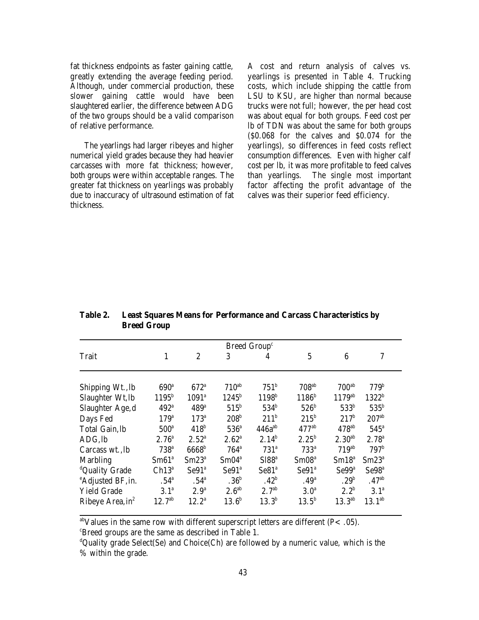fat thickness endpoints as faster gaining cattle, greatly extending the average feeding period. Although, under commercial production, these slower gaining cattle would have been slaughtered earlier, the difference between ADG of the two groups should be a valid comparison of relative performance.

The yearlings had larger ribeyes and higher numerical yield grades because they had heavier carcasses with more fat thickness; however, both groups were within acceptable ranges. The greater fat thickness on yearlings was probably due to inaccuracy of ultrasound estimation of fat thickness.

A cost and return analysis of calves vs. yearlings is presented in Table 4. Trucking costs, which include shipping the cattle from LSU to KSU, are higher than normal because trucks were not full; however, the per head cost was about equal for both groups. Feed cost per lb of TDN was about the same for both groups (\$0.068 for the calves and \$0.074 for the yearlings), so differences in feed costs reflect consumption differences. Even with higher calf cost per lb, it was more profitable to feed calves than yearlings. The single most important factor affecting the profit advantage of the calves was their superior feed efficiency.

| Breed Group <sup>c</sup>      |                   |                   |                   |                   |                     |                     |                   |
|-------------------------------|-------------------|-------------------|-------------------|-------------------|---------------------|---------------------|-------------------|
| Trait                         | 1                 | $\overline{2}$    | 3                 | 4                 | $\overline{5}$      | 6                   | 7                 |
| Shipping Wt., lb              | 690 <sup>a</sup>  | $672^{\circ}$     | $710^{ab}$        | $751^{\rm b}$     | $708$ <sup>ab</sup> | 700 <sup>ab</sup>   | 779 <sup>b</sup>  |
| Slaughter Wt, lb              | $1195^{\rm b}$    | $1091^a$          | $1245^{\rm b}$    | 1198 <sup>b</sup> | $1186^{\rm b}$      | $1179^{ab}$         | $1322^{\rm b}$    |
| Slaughter Age,d               | $492^{\circ}$     | 489°              | $515^{\rm b}$     | $534^{\rm b}$     | 526 <sup>b</sup>    | 533 <sup>b</sup>    | $535^{\rm b}$     |
| Days Fed                      | 179 <sup>a</sup>  | $173^a$           | 208 <sup>b</sup>  | 211 <sup>b</sup>  | $215^{\rm b}$       | 217 <sup>b</sup>    | 207 <sup>ab</sup> |
| Total Gain, lb                | 500 <sup>a</sup>  | 418 <sup>b</sup>  | $536^{\circ}$     | $446a^{ab}$       | $477$ <sup>ab</sup> | $478$ <sup>ab</sup> | $545^{\circ}$     |
| ADG, lb                       | 2.76 <sup>a</sup> | 2.52 <sup>a</sup> | $2.62^{\circ}$    | $2.14^{b}$        | $2.25^{b}$          | 2.30 <sup>ab</sup>  | 2.78 <sup>a</sup> |
| Carcass wt., lb               | 738 <sup>a</sup>  | 6668 <sup>b</sup> | $764^a$           | 731 <sup>a</sup>  | $733^a$             | 719 <sup>ab</sup>   | 797 <sup>b</sup>  |
| <b>Marbling</b>               | Sm61 <sup>a</sup> | $Sm23^a$          | Sm04 <sup>a</sup> | S188 <sup>a</sup> | Sm08 <sup>a</sup>   | Sm18 <sup>a</sup>   | $Sm23^a$          |
| <sup>d</sup> Quality Grade    | $Ch13^a$          | Se91 <sup>ª</sup> | Se91 <sup>a</sup> | Se81 <sup>a</sup> | Se91 <sup>a</sup>   | Se99 <sup>a</sup>   | Se98 <sup>a</sup> |
| <sup>e</sup> Adjusted BF, in. | .54 <sup>a</sup>  | .54 <sup>a</sup>  | .36 <sup>b</sup>  | .42 <sup>b</sup>  | .49 <sup>a</sup>    | .29 <sup>b</sup>    | .47 <sup>ab</sup> |
| <b>Yield Grade</b>            | 3.1 <sup>a</sup>  | 2.9 <sup>a</sup>  | 2.6 <sup>ab</sup> | 2.7 <sup>ab</sup> | 3.0 <sup>a</sup>    | $2.2^{b}$           | 3.1 <sup>a</sup>  |
| Ribeye Area, in <sup>2</sup>  | $12.7^{ab}$       | $12.2^a$          | 13.6 <sup>b</sup> | $13.3^{b}$        | $13.5^{b}$          | $13.3^{ab}$         | $13.1^{ab}$       |

**Table 2. Least Squares Means for Performance and Carcass Characteristics by Breed Group**

<sup>ab</sup>Values in the same row with different superscript letters are different ( $P < .05$ ).

 $\epsilon$ Breed groups are the same as described in Table 1.

 ${}^d$ Quality grade Select(Se) and Choice(Ch) are followed by a numeric value, which is the % within the grade.